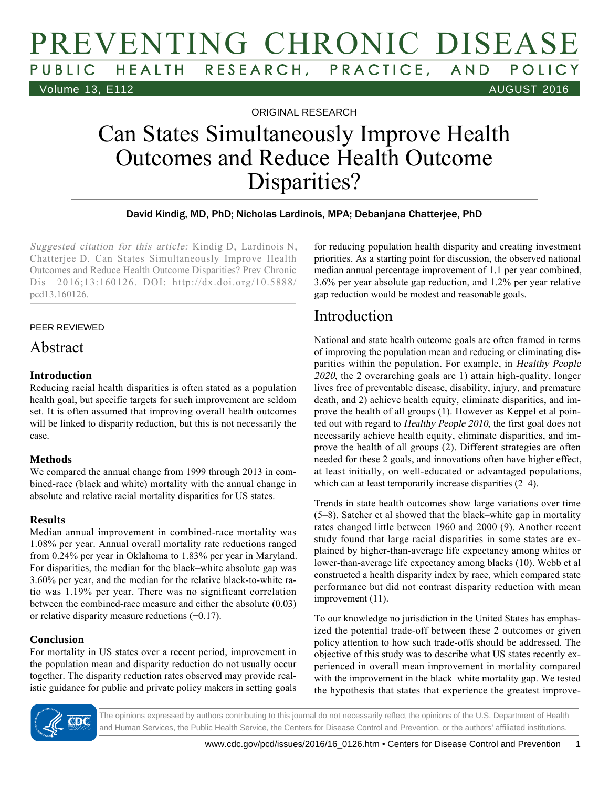## PREVENTING CHRONIC DISEASE HEALTH RESEARCH, PRACTICE, AND POLICY Volume 13, E112 AUGUST 2016

ORIGINAL RESEARCH

# Can States Simultaneously Improve Health Outcomes and Reduce Health Outcome Disparities?

#### David Kindig, MD, PhD; Nicholas Lardinois, MPA; Debanjana Chatterjee, PhD

Suggested citation for this article: Kindig D, Lardinois N, Chatterjee D. Can States Simultaneously Improve Health Outcomes and Reduce Health Outcome Disparities? Prev Chronic Dis 2016;13:160126. DOI: http://dx.doi.org/10.5888/ pcd13.160126.

#### PEER REVIEWED

#### Abstract

#### **Introduction**

Reducing racial health disparities is often stated as a population health goal, but specific targets for such improvement are seldom set. It is often assumed that improving overall health outcomes will be linked to disparity reduction, but this is not necessarily the case.

#### **Methods**

We compared the annual change from 1999 through 2013 in combined-race (black and white) mortality with the annual change in absolute and relative racial mortality disparities for US states.

#### **Results**

Median annual improvement in combined-race mortality was 1.08% per year. Annual overall mortality rate reductions ranged from 0.24% per year in Oklahoma to 1.83% per year in Maryland. For disparities, the median for the black–white absolute gap was 3.60% per year, and the median for the relative black-to-white ratio was 1.19% per year. There was no significant correlation between the combined-race measure and either the absolute (0.03) or relative disparity measure reductions (−0.17).

#### **Conclusion**

For mortality in US states over a recent period, improvement in the population mean and disparity reduction do not usually occur together. The disparity reduction rates observed may provide realistic guidance for public and private policy makers in setting goals for reducing population health disparity and creating investment priorities. As a starting point for discussion, the observed national median annual percentage improvement of 1.1 per year combined, 3.6% per year absolute gap reduction, and 1.2% per year relative gap reduction would be modest and reasonable goals.

### Introduction

National and state health outcome goals are often framed in terms of improving the population mean and reducing or eliminating disparities within the population. For example, in Healthy People <sup>2020</sup>, the 2 overarching goals are 1) attain high-quality, longer lives free of preventable disease, disability, injury, and premature death, and 2) achieve health equity, eliminate disparities, and improve the health of all groups (1). However as Keppel et al pointed out with regard to Healthy People 2010, the first goal does not necessarily achieve health equity, eliminate disparities, and improve the health of all groups (2). Different strategies are often needed for these 2 goals, and innovations often have higher effect, at least initially, on well-educated or advantaged populations, which can at least temporarily increase disparities (2–4).

Trends in state health outcomes show large variations over time (5–8). Satcher et al showed that the black–white gap in mortality rates changed little between 1960 and 2000 (9). Another recent study found that large racial disparities in some states are explained by higher-than-average life expectancy among whites or lower-than-average life expectancy among blacks (10). Webb et al constructed a health disparity index by race, which compared state performance but did not contrast disparity reduction with mean improvement (11).

To our knowledge no jurisdiction in the United States has emphasized the potential trade-off between these 2 outcomes or given policy attention to how such trade-offs should be addressed. The objective of this study was to describe what US states recently experienced in overall mean improvement in mortality compared with the improvement in the black–white mortality gap. We tested the hypothesis that states that experience the greatest improve-



The opinions expressed by authors contributing to this journal do not necessarily reflect the opinions of the U.S. Department of Health and Human Services, the Public Health Service, the Centers for Disease Control and Prevention, or the authors' affiliated institutions.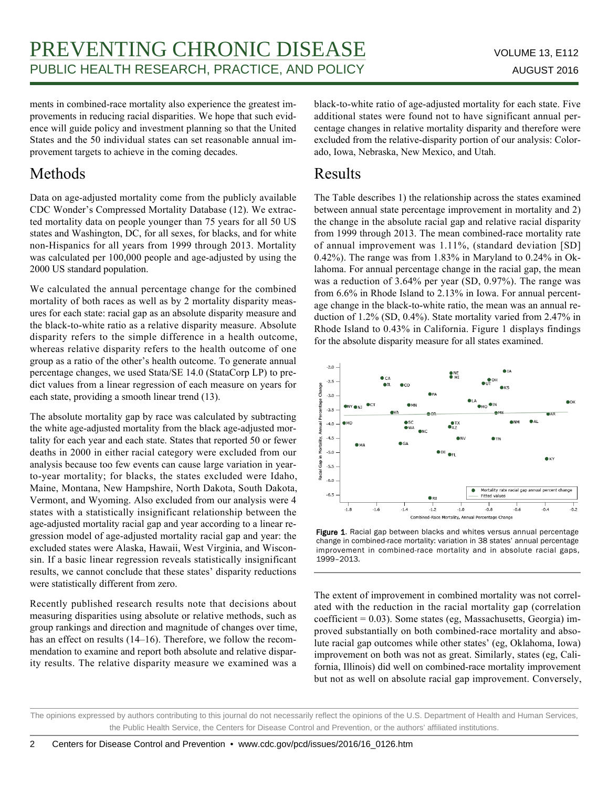ments in combined-race mortality also experience the greatest improvements in reducing racial disparities. We hope that such evidence will guide policy and investment planning so that the United States and the 50 individual states can set reasonable annual improvement targets to achieve in the coming decades.

### Methods

Data on age-adjusted mortality come from the publicly available CDC Wonder's Compressed Mortality Database (12). We extracted mortality data on people younger than 75 years for all 50 US states and Washington, DC, for all sexes, for blacks, and for white non-Hispanics for all years from 1999 through 2013. Mortality was calculated per 100,000 people and age-adjusted by using the 2000 US standard population.

We calculated the annual percentage change for the combined mortality of both races as well as by 2 mortality disparity measures for each state: racial gap as an absolute disparity measure and the black-to-white ratio as a relative disparity measure. Absolute disparity refers to the simple difference in a health outcome, whereas relative disparity refers to the health outcome of one group as a ratio of the other's health outcome. To generate annual percentage changes, we used Stata/SE 14.0 (StataCorp LP) to predict values from a linear regression of each measure on years for each state, providing a smooth linear trend (13).

The absolute mortality gap by race was calculated by subtracting the white age-adjusted mortality from the black age-adjusted mortality for each year and each state. States that reported 50 or fewer deaths in 2000 in either racial category were excluded from our analysis because too few events can cause large variation in yearto-year mortality; for blacks, the states excluded were Idaho, Maine, Montana, New Hampshire, North Dakota, South Dakota, Vermont, and Wyoming. Also excluded from our analysis were 4 states with a statistically insignificant relationship between the age-adjusted mortality racial gap and year according to a linear regression model of age-adjusted mortality racial gap and year: the excluded states were Alaska, Hawaii, West Virginia, and Wisconsin. If a basic linear regression reveals statistically insignificant results, we cannot conclude that these states' disparity reductions were statistically different from zero.

Recently published research results note that decisions about measuring disparities using absolute or relative methods, such as group rankings and direction and magnitude of changes over time, has an effect on results (14–16). Therefore, we follow the recommendation to examine and report both absolute and relative disparity results. The relative disparity measure we examined was a

black-to-white ratio of age-adjusted mortality for each state. Five additional states were found not to have significant annual percentage changes in relative mortality disparity and therefore were excluded from the relative-disparity portion of our analysis: Colorado, Iowa, Nebraska, New Mexico, and Utah.

### Results

The Table describes 1) the relationship across the states examined between annual state percentage improvement in mortality and 2) the change in the absolute racial gap and relative racial disparity from 1999 through 2013. The mean combined-race mortality rate of annual improvement was 1.11%, (standard deviation [SD] 0.42%). The range was from 1.83% in Maryland to 0.24% in Oklahoma. For annual percentage change in the racial gap, the mean was a reduction of 3.64% per year (SD, 0.97%). The range was from 6.6% in Rhode Island to 2.13% in Iowa. For annual percentage change in the black-to-white ratio, the mean was an annual reduction of 1.2% (SD, 0.4%). State mortality varied from 2.47% in Rhode Island to 0.43% in California. Figure 1 displays findings for the absolute disparity measure for all states examined.



Figure 1. Racial gap between blacks and whites versus annual percentage change in combined-race mortality: variation in 38 states' annual percentage improvement in combined-race mortality and in absolute racial gaps, 1999–2013.

The extent of improvement in combined mortality was not correlated with the reduction in the racial mortality gap (correlation coefficient = 0.03). Some states (eg, Massachusetts, Georgia) improved substantially on both combined-race mortality and absolute racial gap outcomes while other states' (eg, Oklahoma, Iowa) improvement on both was not as great. Similarly, states (eg, California, Illinois) did well on combined-race mortality improvement but not as well on absolute racial gap improvement. Conversely,

The opinions expressed by authors contributing to this journal do not necessarily reflect the opinions of the U.S. Department of Health and Human Services, the Public Health Service, the Centers for Disease Control and Prevention, or the authors' affiliated institutions.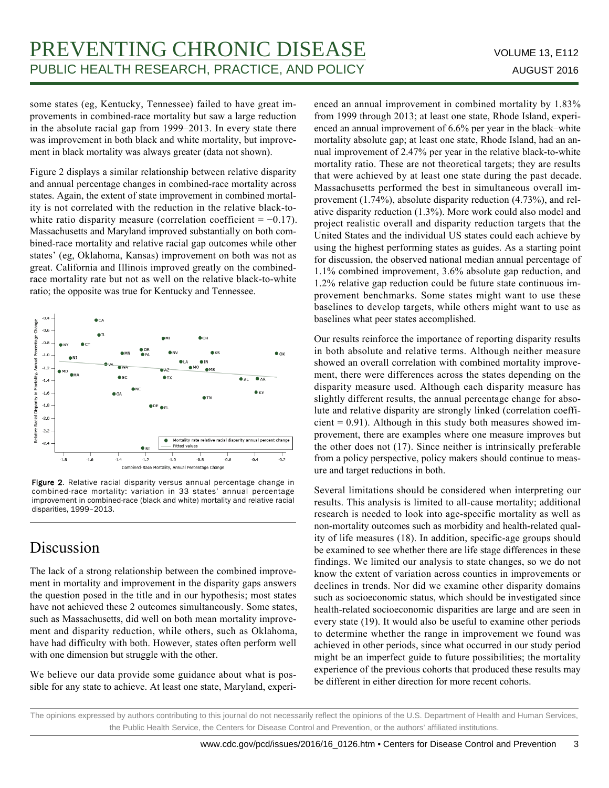some states (eg, Kentucky, Tennessee) failed to have great improvements in combined-race mortality but saw a large reduction in the absolute racial gap from 1999–2013. In every state there was improvement in both black and white mortality, but improvement in black mortality was always greater (data not shown).

Figure 2 displays a similar relationship between relative disparity and annual percentage changes in combined-race mortality across states. Again, the extent of state improvement in combined mortality is not correlated with the reduction in the relative black-towhite ratio disparity measure (correlation coefficient =  $-0.17$ ). Massachusetts and Maryland improved substantially on both combined-race mortality and relative racial gap outcomes while other states' (eg, Oklahoma, Kansas) improvement on both was not as great. California and Illinois improved greatly on the combinedrace mortality rate but not as well on the relative black-to-white ratio; the opposite was true for Kentucky and Tennessee.



Figure 2. Relative racial disparity versus annual percentage change in combined-race mortality: variation in 33 states' annual percentage improvement in combined-race (black and white) mortality and relative racial disparities, 1999–2013.

## Discussion

The lack of a strong relationship between the combined improvement in mortality and improvement in the disparity gaps answers the question posed in the title and in our hypothesis; most states have not achieved these 2 outcomes simultaneously. Some states, such as Massachusetts, did well on both mean mortality improvement and disparity reduction, while others, such as Oklahoma, have had difficulty with both. However, states often perform well with one dimension but struggle with the other.

We believe our data provide some guidance about what is possible for any state to achieve. At least one state, Maryland, experienced an annual improvement in combined mortality by 1.83% from 1999 through 2013; at least one state, Rhode Island, experienced an annual improvement of 6.6% per year in the black–white mortality absolute gap; at least one state, Rhode Island, had an annual improvement of 2.47% per year in the relative black-to-white mortality ratio. These are not theoretical targets; they are results that were achieved by at least one state during the past decade. Massachusetts performed the best in simultaneous overall improvement (1.74%), absolute disparity reduction (4.73%), and relative disparity reduction (1.3%). More work could also model and project realistic overall and disparity reduction targets that the United States and the individual US states could each achieve by using the highest performing states as guides. As a starting point for discussion, the observed national median annual percentage of 1.1% combined improvement, 3.6% absolute gap reduction, and 1.2% relative gap reduction could be future state continuous improvement benchmarks. Some states might want to use these baselines to develop targets, while others might want to use as baselines what peer states accomplished.

Our results reinforce the importance of reporting disparity results in both absolute and relative terms. Although neither measure showed an overall correlation with combined mortality improvement, there were differences across the states depending on the disparity measure used. Although each disparity measure has slightly different results, the annual percentage change for absolute and relative disparity are strongly linked (correlation coeffi $cient = 0.91$ ). Although in this study both measures showed improvement, there are examples where one measure improves but the other does not (17). Since neither is intrinsically preferable from a policy perspective, policy makers should continue to measure and target reductions in both.

Several limitations should be considered when interpreting our results. This analysis is limited to all-cause mortality; additional research is needed to look into age-specific mortality as well as non-mortality outcomes such as morbidity and health-related quality of life measures (18). In addition, specific-age groups should be examined to see whether there are life stage differences in these findings. We limited our analysis to state changes, so we do not know the extent of variation across counties in improvements or declines in trends. Nor did we examine other disparity domains such as socioeconomic status, which should be investigated since health-related socioeconomic disparities are large and are seen in every state (19). It would also be useful to examine other periods to determine whether the range in improvement we found was achieved in other periods, since what occurred in our study period might be an imperfect guide to future possibilities; the mortality experience of the previous cohorts that produced these results may be different in either direction for more recent cohorts.

The opinions expressed by authors contributing to this journal do not necessarily reflect the opinions of the U.S. Department of Health and Human Services, the Public Health Service, the Centers for Disease Control and Prevention, or the authors' affiliated institutions.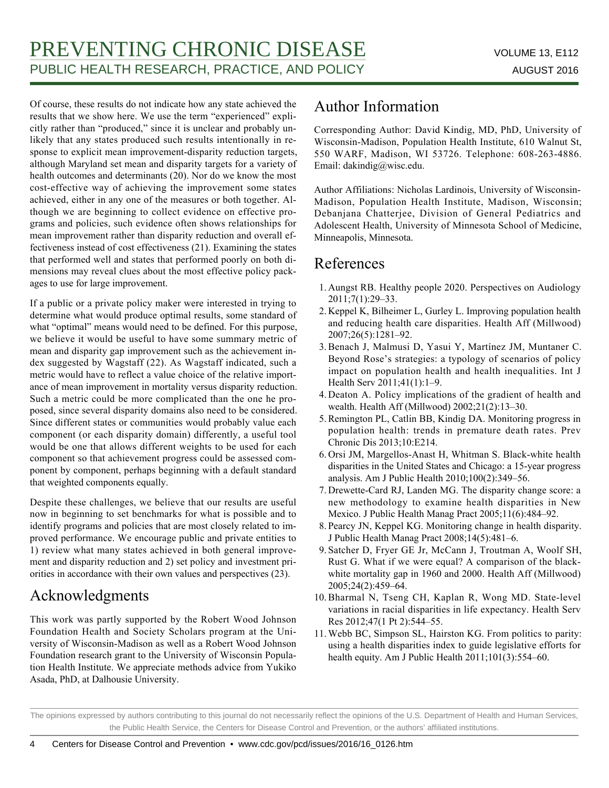Of course, these results do not indicate how any state achieved the results that we show here. We use the term "experienced" explicitly rather than "produced," since it is unclear and probably unlikely that any states produced such results intentionally in response to explicit mean improvement-disparity reduction targets, although Maryland set mean and disparity targets for a variety of health outcomes and determinants (20). Nor do we know the most cost-effective way of achieving the improvement some states achieved, either in any one of the measures or both together. Although we are beginning to collect evidence on effective programs and policies, such evidence often shows relationships for mean improvement rather than disparity reduction and overall effectiveness instead of cost effectiveness (21). Examining the states that performed well and states that performed poorly on both dimensions may reveal clues about the most effective policy packages to use for large improvement.

If a public or a private policy maker were interested in trying to determine what would produce optimal results, some standard of what "optimal" means would need to be defined. For this purpose, we believe it would be useful to have some summary metric of mean and disparity gap improvement such as the achievement index suggested by Wagstaff (22). As Wagstaff indicated, such a metric would have to reflect a value choice of the relative importance of mean improvement in mortality versus disparity reduction. Such a metric could be more complicated than the one he proposed, since several disparity domains also need to be considered. Since different states or communities would probably value each component (or each disparity domain) differently, a useful tool would be one that allows different weights to be used for each component so that achievement progress could be assessed component by component, perhaps beginning with a default standard that weighted components equally.

Despite these challenges, we believe that our results are useful now in beginning to set benchmarks for what is possible and to identify programs and policies that are most closely related to improved performance. We encourage public and private entities to 1) review what many states achieved in both general improvement and disparity reduction and 2) set policy and investment priorities in accordance with their own values and perspectives (23).

## Acknowledgments

This work was partly supported by the Robert Wood Johnson Foundation Health and Society Scholars program at the University of Wisconsin-Madison as well as a Robert Wood Johnson Foundation research grant to the University of Wisconsin Population Health Institute. We appreciate methods advice from Yukiko Asada, PhD, at Dalhousie University.

### Author Information

Corresponding Author: David Kindig, MD, PhD, University of Wisconsin-Madison, Population Health Institute, 610 Walnut St, 550 WARF, Madison, WI 53726. Telephone: 608-263-4886. Email: dakindig@wisc.edu.

Author Affiliations: Nicholas Lardinois, University of Wisconsin-Madison, Population Health Institute, Madison, Wisconsin; Debanjana Chatterjee, Division of General Pediatrics and Adolescent Health, University of Minnesota School of Medicine, Minneapolis, Minnesota.

### References

- 1. Aungst RB. Healthy people 2020. Perspectives on Audiology 2011;7(1):29–33.
- 2. Keppel K, Bilheimer L, Gurley L. Improving population health and reducing health care disparities. Health Aff (Millwood) 2007;26(5):1281–92.
- 3. Benach J, Malmusi D, Yasui Y, Martínez JM, Muntaner C. Beyond Rose's strategies: a typology of scenarios of policy impact on population health and health inequalities. Int J Health Serv 2011;41(1):1–9.
- 4. Deaton A. Policy implications of the gradient of health and wealth. Health Aff (Millwood) 2002;21(2):13–30.
- 5. Remington PL, Catlin BB, Kindig DA. Monitoring progress in population health: trends in premature death rates. Prev Chronic Dis 2013;10:E214.
- 6. Orsi JM, Margellos-Anast H, Whitman S. Black-white health disparities in the United States and Chicago: a 15-year progress analysis. Am J Public Health 2010;100(2):349–56.
- 7. Drewette-Card RJ, Landen MG. The disparity change score: a new methodology to examine health disparities in New Mexico. J Public Health Manag Pract 2005;11(6):484–92.
- 8. Pearcy JN, Keppel KG. Monitoring change in health disparity. J Public Health Manag Pract 2008;14(5):481–6.
- 9. Satcher D, Fryer GE Jr, McCann J, Troutman A, Woolf SH, Rust G. What if we were equal? A comparison of the blackwhite mortality gap in 1960 and 2000. Health Aff (Millwood) 2005;24(2):459–64.
- 10. Bharmal N, Tseng CH, Kaplan R, Wong MD. State-level variations in racial disparities in life expectancy. Health Serv Res 2012;47(1 Pt 2):544–55.
- 11. Webb BC, Simpson SL, Hairston KG. From politics to parity: using a health disparities index to guide legislative efforts for health equity. Am J Public Health 2011;101(3):554–60.

The opinions expressed by authors contributing to this journal do not necessarily reflect the opinions of the U.S. Department of Health and Human Services, the Public Health Service, the Centers for Disease Control and Prevention, or the authors' affiliated institutions.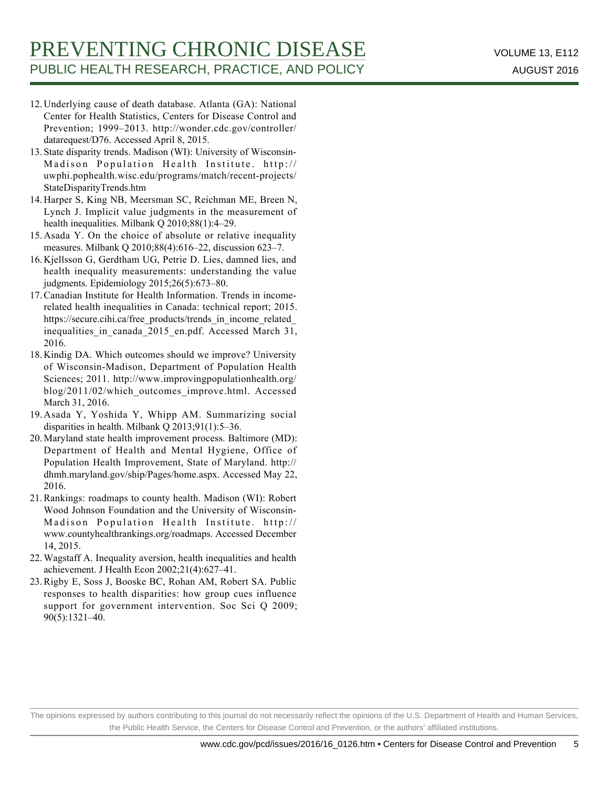- 12. Underlying cause of death database. Atlanta (GA): National Center for Health Statistics, Centers for Disease Control and Prevention; 1999–2013. http://wonder.cdc.gov/controller/ datarequest/D76. Accessed April 8, 2015.
- 13. State disparity trends. Madison (WI): University of Wisconsin-Madison Population Health Institute. http:// uwphi.pophealth.wisc.edu/programs/match/recent-projects/ StateDisparityTrends.htm
- 14. Harper S, King NB, Meersman SC, Reichman ME, Breen N, Lynch J. Implicit value judgments in the measurement of health inequalities. Milbank Q 2010;88(1):4–29.
- 15. Asada Y. On the choice of absolute or relative inequality measures. Milbank Q 2010;88(4):616–22, discussion 623–7.
- 16. Kjellsson G, Gerdtham UG, Petrie D. Lies, damned lies, and health inequality measurements: understanding the value judgments. Epidemiology 2015;26(5):673–80.
- 17. Canadian Institute for Health Information. Trends in incomerelated health inequalities in Canada: technical report; 2015. https://secure.cihi.ca/free\_products/trends\_in\_income\_related inequalities in canada\_2015\_en.pdf. Accessed March 31, 2016.
- 18. Kindig DA. Which outcomes should we improve? University of Wisconsin-Madison, Department of Population Health Sciences; 2011. http://www.improvingpopulationhealth.org/ blog/2011/02/which\_outcomes\_improve.html. Accessed March 31, 2016.
- 19. Asada Y, Yoshida Y, Whipp AM. Summarizing social disparities in health. Milbank Q 2013;91(1):5–36.
- 20. Maryland state health improvement process. Baltimore (MD): Department of Health and Mental Hygiene, Office of Population Health Improvement, State of Maryland. http:// dhmh.maryland.gov/ship/Pages/home.aspx. Accessed May 22, 2016.
- 21. Rankings: roadmaps to county health. Madison (WI): Robert Wood Johnson Foundation and the University of Wisconsin-Madison Population Health Institute. http:// www.countyhealthrankings.org/roadmaps. Accessed December 14, 2015.
- 22. Wagstaff A. Inequality aversion, health inequalities and health achievement. J Health Econ 2002;21(4):627–41.
- 23. Rigby E, Soss J, Booske BC, Rohan AM, Robert SA. Public responses to health disparities: how group cues influence support for government intervention. Soc Sci Q 2009; 90(5):1321–40.

The opinions expressed by authors contributing to this journal do not necessarily reflect the opinions of the U.S. Department of Health and Human Services, the Public Health Service, the Centers for Disease Control and Prevention, or the authors' affiliated institutions.